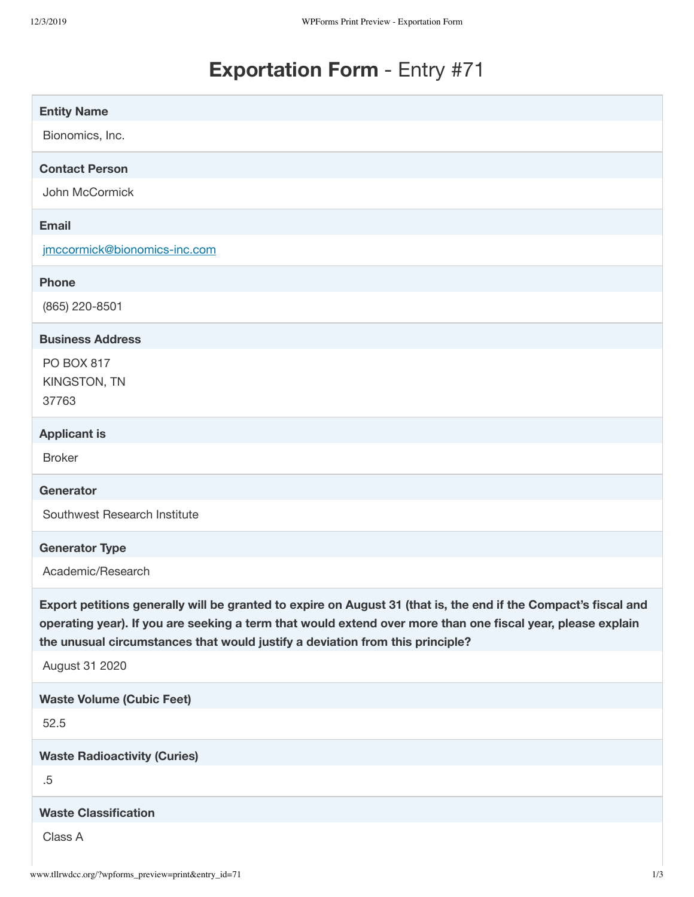# **Exportation Form** - Entry #71

| <b>Entity Name</b>                                                                                                                                                                                                                                                                                              |
|-----------------------------------------------------------------------------------------------------------------------------------------------------------------------------------------------------------------------------------------------------------------------------------------------------------------|
| Bionomics, Inc.                                                                                                                                                                                                                                                                                                 |
| <b>Contact Person</b>                                                                                                                                                                                                                                                                                           |
| John McCormick                                                                                                                                                                                                                                                                                                  |
| <b>Email</b>                                                                                                                                                                                                                                                                                                    |
| jmccormick@bionomics-inc.com                                                                                                                                                                                                                                                                                    |
| <b>Phone</b>                                                                                                                                                                                                                                                                                                    |
| (865) 220-8501                                                                                                                                                                                                                                                                                                  |
| <b>Business Address</b>                                                                                                                                                                                                                                                                                         |
| <b>PO BOX 817</b>                                                                                                                                                                                                                                                                                               |
| KINGSTON, TN<br>37763                                                                                                                                                                                                                                                                                           |
| <b>Applicant is</b>                                                                                                                                                                                                                                                                                             |
| <b>Broker</b>                                                                                                                                                                                                                                                                                                   |
| <b>Generator</b>                                                                                                                                                                                                                                                                                                |
| Southwest Research Institute                                                                                                                                                                                                                                                                                    |
|                                                                                                                                                                                                                                                                                                                 |
| <b>Generator Type</b>                                                                                                                                                                                                                                                                                           |
| Academic/Research                                                                                                                                                                                                                                                                                               |
| Export petitions generally will be granted to expire on August 31 (that is, the end if the Compact's fiscal and<br>operating year). If you are seeking a term that would extend over more than one fiscal year, please explain<br>the unusual circumstances that would justify a deviation from this principle? |
| August 31 2020                                                                                                                                                                                                                                                                                                  |
| <b>Waste Volume (Cubic Feet)</b>                                                                                                                                                                                                                                                                                |
| 52.5                                                                                                                                                                                                                                                                                                            |
| <b>Waste Radioactivity (Curies)</b>                                                                                                                                                                                                                                                                             |
| .5                                                                                                                                                                                                                                                                                                              |
| <b>Waste Classification</b>                                                                                                                                                                                                                                                                                     |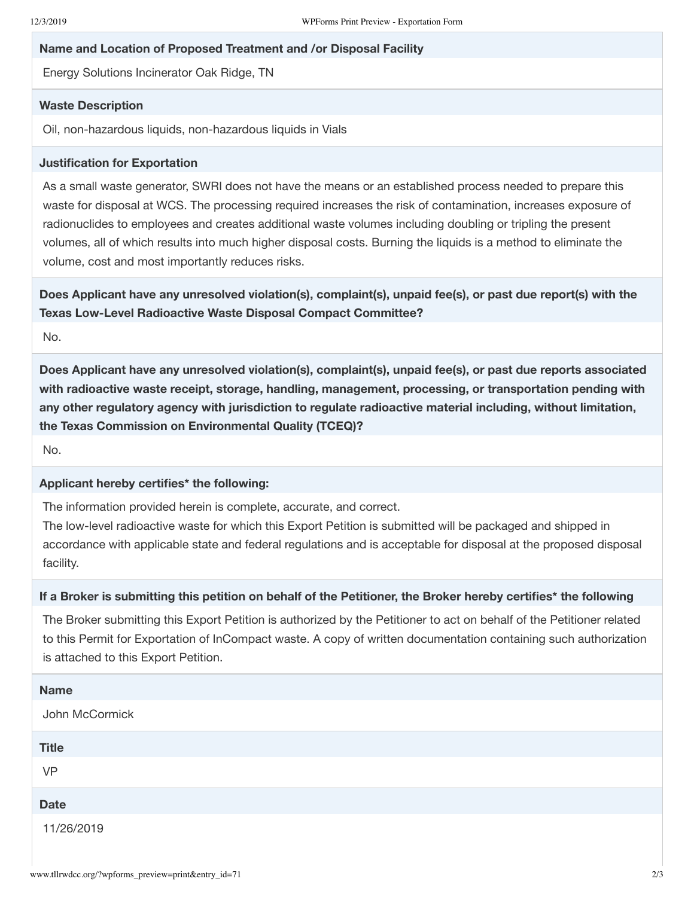#### **Name and Location of Proposed Treatment and /or Disposal Facility**

Energy Solutions Incinerator Oak Ridge, TN

#### **Waste Description**

Oil, non-hazardous liquids, non-hazardous liquids in Vials

#### **Justification for Exportation**

As a small waste generator, SWRI does not have the means or an established process needed to prepare this waste for disposal at WCS. The processing required increases the risk of contamination, increases exposure of radionuclides to employees and creates additional waste volumes including doubling or tripling the present volumes, all of which results into much higher disposal costs. Burning the liquids is a method to eliminate the volume, cost and most importantly reduces risks.

**Does Applicant have any unresolved violation(s), complaint(s), unpaid fee(s), or past due report(s) with the Texas Low-Level Radioactive Waste Disposal Compact Committee?**

No.

**Does Applicant have any unresolved violation(s), complaint(s), unpaid fee(s), or past due reports associated with radioactive waste receipt, storage, handling, management, processing, or transportation pending with any other regulatory agency with jurisdiction to regulate radioactive material including, without limitation, the Texas Commission on Environmental Quality (TCEQ)?**

No.

## **Applicant hereby certifies\* the following:**

The information provided herein is complete, accurate, and correct.

The low-level radioactive waste for which this Export Petition is submitted will be packaged and shipped in accordance with applicable state and federal regulations and is acceptable for disposal at the proposed disposal facility.

## If a Broker is submitting this petition on behalf of the Petitioner, the Broker hereby certifies\* the following

The Broker submitting this Export Petition is authorized by the Petitioner to act on behalf of the Petitioner related to this Permit for Exportation of InCompact waste. A copy of written documentation containing such authorization is attached to this Export Petition.

| <b>Name</b>    |
|----------------|
| John McCormick |
| <b>Title</b>   |
| <b>VP</b>      |
| <b>Date</b>    |
| 11/26/2019     |